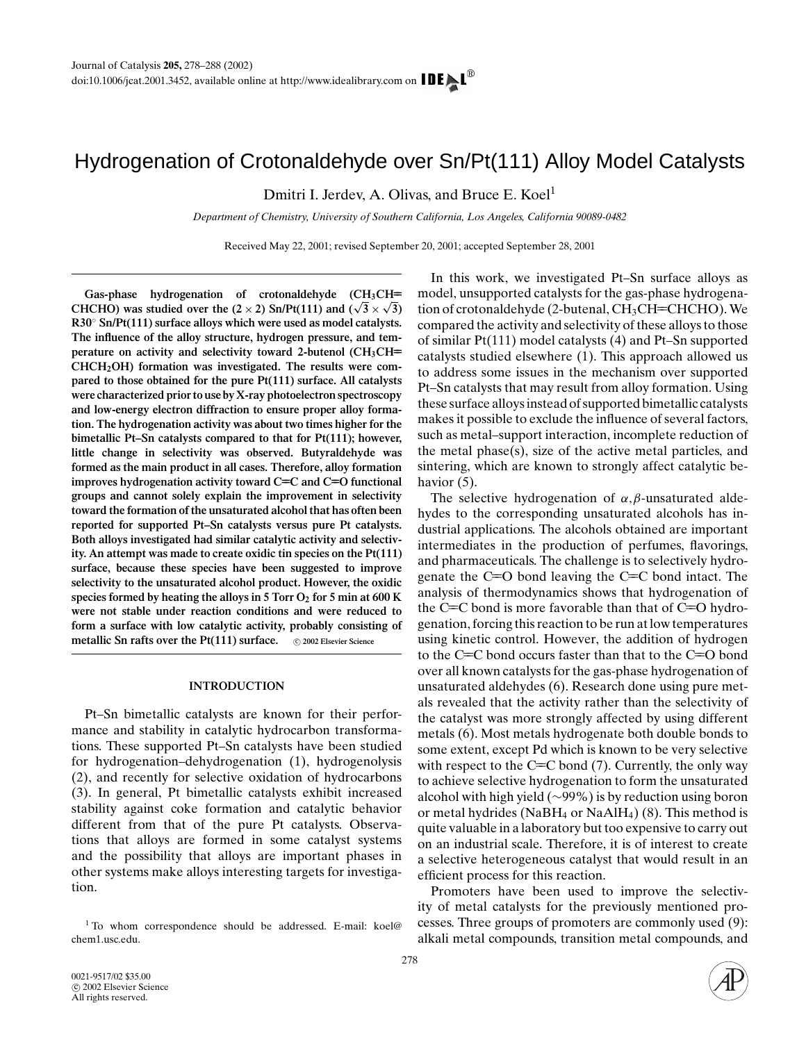# Hydrogenation of Crotonaldehyde over Sn/Pt(111) Alloy Model Catalysts

Dmitri I. Jerdev, A. Olivas, and Bruce E. Koel $<sup>1</sup>$ </sup>

*Department of Chemistry, University of Southern California, Los Angeles, California 90089-0482*

Received May 22, 2001; revised September 20, 2001; accepted September 28, 2001

Gas-phase hydrogenation of crotonaldehyde (CH<sub>3</sub>CH= CHCHO) was studied over the  $(2 \times 2)$  Sn/Pt(111) and  $(\sqrt{3} \times \sqrt{3})$ **R30**◦ **Sn/Pt(111) surface alloys which were used as model catalysts. The influence of the alloy structure, hydrogen pressure, and temperature on activity and selectivity toward 2-butenol (CH3CH== CHCH2OH) formation was investigated. The results were compared to those obtained for the pure Pt(111) surface. All catalysts were characterized prior to use by X-ray photoelectron spectroscopy and low-energy electron diffraction to ensure proper alloy formation. The hydrogenation activity was about two times higher for the bimetallic Pt–Sn catalysts compared to that for Pt(111); however, little change in selectivity was observed. Butyraldehyde was formed as the main product in all cases. Therefore, alloy formation improves hydrogenation activity toward C=C and C=O functional groups and cannot solely explain the improvement in selectivity toward the formation of the unsaturated alcohol that has often been reported for supported Pt–Sn catalysts versus pure Pt catalysts. Both alloys investigated had similar catalytic activity and selectivity. An attempt was made to create oxidic tin species on the Pt(111) surface, because these species have been suggested to improve selectivity to the unsaturated alcohol product. However, the oxidic** species formed by heating the alloys in 5 Torr O<sub>2</sub> for 5 min at 600 K **were not stable under reaction conditions and were reduced to form a surface with low catalytic activity, probably consisting of metallic Sn rafts over the Pt(111) surface.** © 2002 Elsevier Science

# **INTRODUCTION**

Pt–Sn bimetallic catalysts are known for their performance and stability in catalytic hydrocarbon transformations. These supported Pt–Sn catalysts have been studied for hydrogenation–dehydrogenation (1), hydrogenolysis (2), and recently for selective oxidation of hydrocarbons (3). In general, Pt bimetallic catalysts exhibit increased stability against coke formation and catalytic behavior different from that of the pure Pt catalysts. Observations that alloys are formed in some catalyst systems and the possibility that alloys are important phases in other systems make alloys interesting targets for investigation.

<sup>1</sup> To whom correspondence should be addressed. E-mail: koel@ chem1.usc.edu.

In this work, we investigated Pt–Sn surface alloys as model, unsupported catalysts for the gas-phase hydrogenation of crotonaldehyde (2-butenal,  $CH<sub>3</sub>CH=CHCHO$ ). We compared the activity and selectivity of these alloys to those of similar Pt(111) model catalysts (4) and Pt–Sn supported catalysts studied elsewhere (1). This approach allowed us to address some issues in the mechanism over supported Pt–Sn catalysts that may result from alloy formation. Using these surface alloys instead of supported bimetallic catalysts makes it possible to exclude the influence of several factors, such as metal–support interaction, incomplete reduction of the metal phase(s), size of the active metal particles, and sintering, which are known to strongly affect catalytic behavior  $(5)$ .

The selective hydrogenation of  $\alpha$ ,  $\beta$ -unsaturated aldehydes to the corresponding unsaturated alcohols has industrial applications. The alcohols obtained are important intermediates in the production of perfumes, flavorings, and pharmaceuticals. The challenge is to selectively hydrogenate the  $C=O$  bond leaving the  $C=C$  bond intact. The analysis of thermodynamics shows that hydrogenation of the C=C bond is more favorable than that of C=O hydrogenation, forcing this reaction to be run at low temperatures using kinetic control. However, the addition of hydrogen to the  $C=$ C bond occurs faster than that to the  $C=$ O bond over all known catalysts for the gas-phase hydrogenation of unsaturated aldehydes (6). Research done using pure metals revealed that the activity rather than the selectivity of the catalyst was more strongly affected by using different metals (6). Most metals hydrogenate both double bonds to some extent, except Pd which is known to be very selective with respect to the C=C bond  $(7)$ . Currently, the only way to achieve selective hydrogenation to form the unsaturated alcohol with high yield (∼99%) is by reduction using boron or metal hydrides (NaBH<sub>4</sub> or NaAlH<sub>4</sub>) (8). This method is quite valuable in a laboratory but too expensive to carry out on an industrial scale. Therefore, it is of interest to create a selective heterogeneous catalyst that would result in an efficient process for this reaction.

Promoters have been used to improve the selectivity of metal catalysts for the previously mentioned processes. Three groups of promoters are commonly used (9): alkali metal compounds, transition metal compounds, and

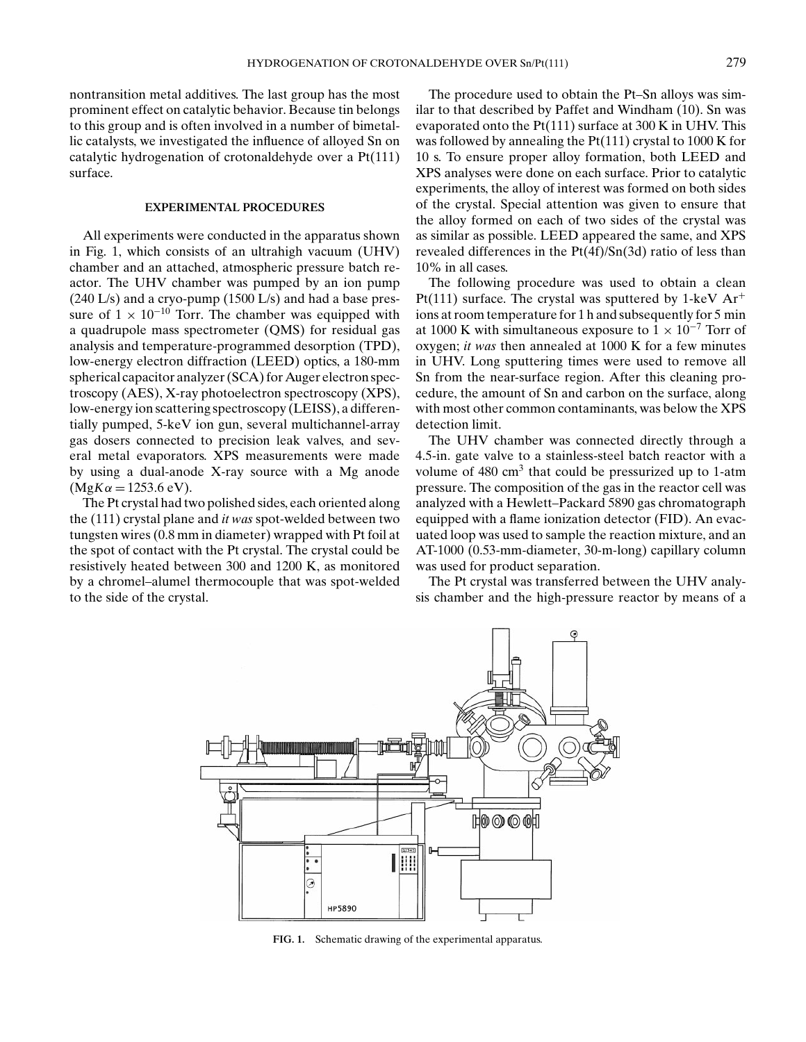nontransition metal additives. The last group has the most prominent effect on catalytic behavior. Because tin belongs to this group and is often involved in a number of bimetallic catalysts, we investigated the influence of alloyed Sn on catalytic hydrogenation of crotonaldehyde over a Pt(111) surface.

# **EXPERIMENTAL PROCEDURES**

All experiments were conducted in the apparatus shown in Fig. 1, which consists of an ultrahigh vacuum (UHV) chamber and an attached, atmospheric pressure batch reactor. The UHV chamber was pumped by an ion pump  $(240 \text{ L/s})$  and a cryo-pump  $(1500 \text{ L/s})$  and had a base pressure of  $1 \times 10^{-10}$  Torr. The chamber was equipped with a quadrupole mass spectrometer (QMS) for residual gas analysis and temperature-programmed desorption (TPD), low-energy electron diffraction (LEED) optics, a 180-mm spherical capacitor analyzer (SCA) for Auger electron spectroscopy (AES), X-ray photoelectron spectroscopy (XPS), low-energy ion scattering spectroscopy (LEISS), a differentially pumped, 5-keV ion gun, several multichannel-array gas dosers connected to precision leak valves, and several metal evaporators. XPS measurements were made by using a dual-anode X-ray source with a Mg anode  $(MgK\alpha = 1253.6 \text{ eV}).$ 

The Pt crystal had two polished sides, each oriented along the (111) crystal plane and *it was* spot-welded between two tungsten wires (0.8 mm in diameter) wrapped with Pt foil at the spot of contact with the Pt crystal. The crystal could be resistively heated between 300 and 1200 K, as monitored by a chromel–alumel thermocouple that was spot-welded to the side of the crystal.

The procedure used to obtain the Pt–Sn alloys was similar to that described by Paffet and Windham (10). Sn was evaporated onto the  $Pt(111)$  surface at 300 K in UHV. This was followed by annealing the  $Pt(111)$  crystal to 1000 K for 10 s. To ensure proper alloy formation, both LEED and XPS analyses were done on each surface. Prior to catalytic experiments, the alloy of interest was formed on both sides of the crystal. Special attention was given to ensure that the alloy formed on each of two sides of the crystal was as similar as possible. LEED appeared the same, and XPS revealed differences in the Pt(4f)/Sn(3d) ratio of less than 10% in all cases.

The following procedure was used to obtain a clean Pt(111) surface. The crystal was sputtered by 1-keV  $Ar^+$ ions at room temperature for 1 h and subsequently for 5 min at 1000 K with simultaneous exposure to  $1 \times 10^{-7}$  Torr of oxygen; *it was* then annealed at 1000 K for a few minutes in UHV. Long sputtering times were used to remove all Sn from the near-surface region. After this cleaning procedure, the amount of Sn and carbon on the surface, along with most other common contaminants, was below the XPS detection limit.

The UHV chamber was connected directly through a 4.5-in. gate valve to a stainless-steel batch reactor with a volume of 480 cm<sup>3</sup> that could be pressurized up to 1-atm pressure. The composition of the gas in the reactor cell was analyzed with a Hewlett–Packard 5890 gas chromatograph equipped with a flame ionization detector (FID). An evacuated loop was used to sample the reaction mixture, and an AT-1000 (0.53-mm-diameter, 30-m-long) capillary column was used for product separation.

The Pt crystal was transferred between the UHV analysis chamber and the high-pressure reactor by means of a



**FIG. 1.** Schematic drawing of the experimental apparatus.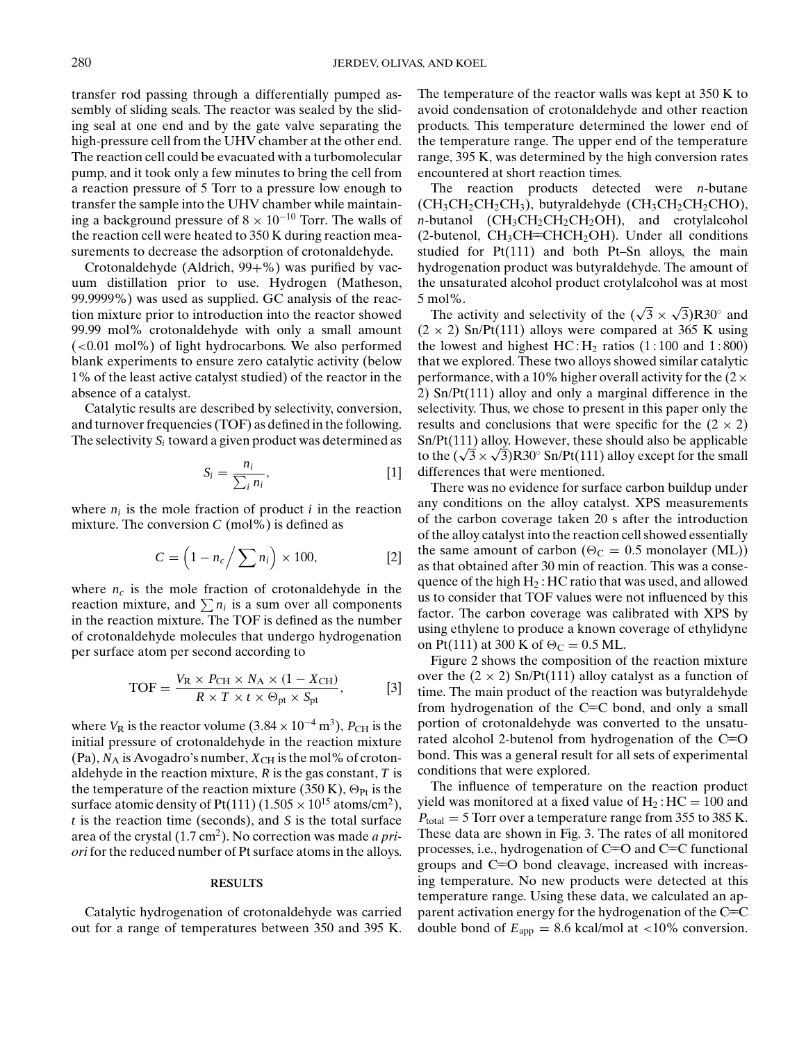sembly of sliding seals. The reactor was sealed by the sliding seal at one end and by the gate valve separating the high-pressure cell from the UHV chamber at the other end. The reaction cell could be evacuated with a turbomolecular pump, and it took only a few minutes to bring the cell from a reaction pressure of 5 Torr to a pressure low enough to transfer the sample into the UHV chamber while maintaining a background pressure of  $8 \times 10^{-10}$  Torr. The walls of the reaction cell were heated to 350 K during reaction measurements to decrease the adsorption of crotonaldehyde.

Crotonaldehyde (Aldrich,  $99 + %$ ) was purified by vacuum distillation prior to use. Hydrogen (Matheson, 99.9999%) was used as supplied. GC analysis of the reaction mixture prior to introduction into the reactor showed 99.99 mol% crotonaldehyde with only a small amount  $(<0.01$  mol%) of light hydrocarbons. We also performed blank experiments to ensure zero catalytic activity (below 1% of the least active catalyst studied) of the reactor in the absence of a catalyst.

Catalytic results are described by selectivity, conversion, and turnover frequencies (TOF) as defined in the following. The selectivity *Si* toward a given product was determined as

$$
S_i = \frac{n_i}{\sum_i n_i},\tag{1}
$$

where  $n_i$  is the mole fraction of product  $i$  in the reaction mixture. The conversion  $C \text{ (mol\%)}$  is defined as

$$
C = \left(1 - n_c / \sum n_i\right) \times 100, \tag{2}
$$

where  $n_c$  is the mole fraction of crotonaldehyde in the reaction mixture, and  $\sum n_i$  is a sum over all components in the reaction mixture. The TOF is defined as the number of crotonaldehyde molecules that undergo hydrogenation per surface atom per second according to

$$
TOF = \frac{V_{\rm R} \times P_{\rm CH} \times N_{\rm A} \times (1 - X_{\rm CH})}{R \times T \times t \times \Theta_{\rm pt} \times S_{\rm pt}},
$$
 [3]

where  $V_R$  is the reactor volume (3.84 × 10<sup>-4</sup> m<sup>3</sup>),  $P_{CH}$  is the initial pressure of crotonaldehyde in the reaction mixture (Pa),  $N_A$  is Avogadro's number,  $X_{CH}$  is the mol% of crotonaldehyde in the reaction mixture, *R* is the gas constant, *T* is the temperature of the reaction mixture (350 K),  $\Theta_{Pt}$  is the surface atomic density of Pt(111) (1.505  $\times$  10<sup>15</sup> atoms/cm<sup>2</sup>), *t* is the reaction time (seconds), and *S* is the total surface area of the crystal (1.7 cm2). No correction was made *a priori* for the reduced number of Pt surface atoms in the alloys.

# **RESULTS**

Catalytic hydrogenation of crotonaldehyde was carried out for a range of temperatures between 350 and 395 K. The temperature of the reactor walls was kept at 350 K to avoid condensation of crotonaldehyde and other reaction products. This temperature determined the lower end of the temperature range. The upper end of the temperature range, 395 K, was determined by the high conversion rates encountered at short reaction times.

The reaction products detected were *n*-butane  $(CH_3CH_2CH_2CH_3)$ , butyraldehyde  $(CH_3CH_2CH_2CHO)$ , *n*-butanol ( $CH_3CH_2CH_2CH_2OH$ ), and crotylalcohol  $(2-butenol, CH<sub>3</sub>CH=CHCH<sub>2</sub>OH)$ . Under all conditions studied for Pt(111) and both Pt–Sn alloys, the main hydrogenation product was butyraldehyde. The amount of the unsaturated alcohol product crotylalcohol was at most 5 mol%.

The activity and selectivity of the  $(\sqrt{3} \times \sqrt{3})$ R30<sup>°</sup> and  $(2 \times 2)$  Sn/Pt(111) alloys were compared at 365 K using the lowest and highest  $HC: H_2$  ratios (1:100 and 1:800) that we explored. These two alloys showed similar catalytic performance, with a 10% higher overall activity for the  $(2 \times$ 2) Sn/Pt(111) alloy and only a marginal difference in the selectivity. Thus, we chose to present in this paper only the results and conclusions that were specific for the  $(2 \times 2)$ Sn/Pt(111) alloy. However, these should also be applicable to the  $(\sqrt{3} \times \sqrt{3})$ R30° Sn/Pt(111) alloy except for the small differences that were mentioned.

There was no evidence for surface carbon buildup under any conditions on the alloy catalyst. XPS measurements of the carbon coverage taken 20 s after the introduction of the alloy catalyst into the reaction cell showed essentially the same amount of carbon ( $\Theta_C = 0.5$  monolayer (ML)) as that obtained after 30 min of reaction. This was a consequence of the high  $H_2$ : HC ratio that was used, and allowed us to consider that TOF values were not influenced by this factor. The carbon coverage was calibrated with XPS by using ethylene to produce a known coverage of ethylidyne on Pt(111) at 300 K of  $\Theta_C = 0.5$  ML.

Figure 2 shows the composition of the reaction mixture over the  $(2 \times 2)$  Sn/Pt(111) alloy catalyst as a function of time. The main product of the reaction was butyraldehyde from hydrogenation of the  $C=C$  bond, and only a small portion of crotonaldehyde was converted to the unsaturated alcohol 2-butenol from hydrogenation of the  $C=O$ bond. This was a general result for all sets of experimental conditions that were explored.

The influence of temperature on the reaction product yield was monitored at a fixed value of  $H_2$ : HC = 100 and  $P_{\text{total}} = 5$  Torr over a temperature range from 355 to 385 K. These data are shown in Fig. 3. The rates of all monitored processes, i.e., hydrogenation of  $C=O$  and  $C=C$  functional groups and  $C=O$  bond cleavage, increased with increasing temperature. No new products were detected at this temperature range. Using these data, we calculated an apparent activation energy for the hydrogenation of the  $C=C$ double bond of  $E_{\text{app}} = 8.6$  kcal/mol at <10% conversion.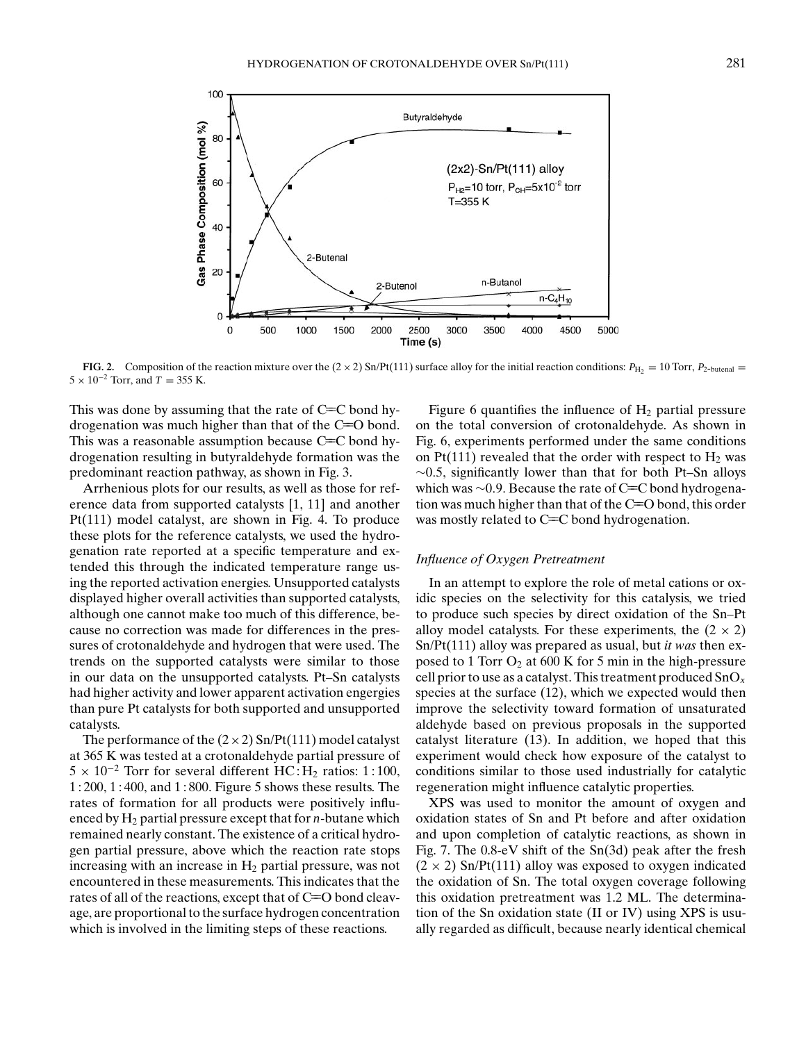

**FIG. 2.** Composition of the reaction mixture over the  $(2 \times 2)$  Sn/Pt(111) surface alloy for the initial reaction conditions:  $P_{\text{H}_2} = 10$  Torr,  $P_{2-\text{butenal}} =$  $5 \times 10^{-2}$  Torr, and  $T = 355$  K.

This was done by assuming that the rate of  $C=C$  bond hydrogenation was much higher than that of the  $C=O$  bond. This was a reasonable assumption because  $C=C$  bond hydrogenation resulting in butyraldehyde formation was the predominant reaction pathway, as shown in Fig. 3.

Arrhenious plots for our results, as well as those for reference data from supported catalysts [1, 11] and another Pt(111) model catalyst, are shown in Fig. 4. To produce these plots for the reference catalysts, we used the hydrogenation rate reported at a specific temperature and extended this through the indicated temperature range using the reported activation energies. Unsupported catalysts displayed higher overall activities than supported catalysts, although one cannot make too much of this difference, because no correction was made for differences in the pressures of crotonaldehyde and hydrogen that were used. The trends on the supported catalysts were similar to those in our data on the unsupported catalysts. Pt–Sn catalysts had higher activity and lower apparent activation engergies than pure Pt catalysts for both supported and unsupported catalysts.

The performance of the  $(2 \times 2)$  Sn/Pt(111) model catalyst at 365 K was tested at a crotonaldehyde partial pressure of  $5 \times 10^{-2}$  Torr for several different HC: H<sub>2</sub> ratios: 1:100, 1 : 200, 1 : 400, and 1 : 800. Figure 5 shows these results. The rates of formation for all products were positively influenced by  $H_2$  partial pressure except that for *n*-butane which remained nearly constant. The existence of a critical hydrogen partial pressure, above which the reaction rate stops increasing with an increase in  $H_2$  partial pressure, was not encountered in these measurements. This indicates that the rates of all of the reactions, except that of  $C=O$  bond cleavage, are proportional to the surface hydrogen concentration which is involved in the limiting steps of these reactions.

Figure 6 quantifies the influence of  $H_2$  partial pressure on the total conversion of crotonaldehyde. As shown in Fig. 6, experiments performed under the same conditions on Pt(111) revealed that the order with respect to  $H_2$  was ∼0.5, significantly lower than that for both Pt–Sn alloys which was ∼0.9. Because the rate of C=C bond hydrogenation was much higher than that of the  $C=O$  bond, this order was mostly related to  $C=C$  bond hydrogenation.

# *Influence of Oxygen Pretreatment*

In an attempt to explore the role of metal cations or oxidic species on the selectivity for this catalysis, we tried to produce such species by direct oxidation of the Sn–Pt alloy model catalysts. For these experiments, the  $(2 \times 2)$ Sn/Pt(111) alloy was prepared as usual, but *it was* then exposed to 1 Torr  $O_2$  at 600 K for 5 min in the high-pressure cell prior to use as a catalyst. This treatment produced SnO*<sup>x</sup>* species at the surface (12), which we expected would then improve the selectivity toward formation of unsaturated aldehyde based on previous proposals in the supported catalyst literature (13). In addition, we hoped that this experiment would check how exposure of the catalyst to conditions similar to those used industrially for catalytic regeneration might influence catalytic properties.

XPS was used to monitor the amount of oxygen and oxidation states of Sn and Pt before and after oxidation and upon completion of catalytic reactions, as shown in Fig. 7. The 0.8-eV shift of the Sn(3d) peak after the fresh  $(2 \times 2)$  Sn/Pt(111) alloy was exposed to oxygen indicated the oxidation of Sn. The total oxygen coverage following this oxidation pretreatment was 1.2 ML. The determination of the Sn oxidation state (II or IV) using XPS is usually regarded as difficult, because nearly identical chemical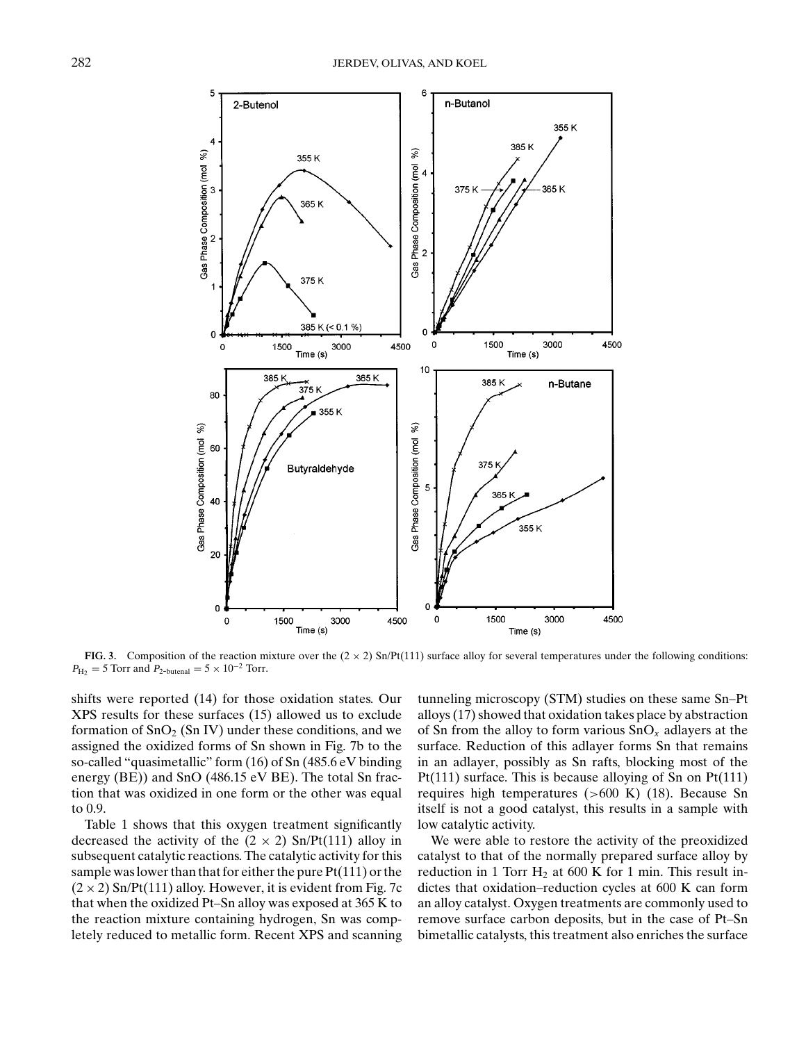

**FIG. 3.** Composition of the reaction mixture over the  $(2 \times 2)$  Sn/Pt(111) surface alloy for several temperatures under the following conditions:  $P_{\text{H}_2}$  = 5 Torr and  $P_{\text{2-butenal}}$  = 5 × 10<sup>-2</sup> Torr.

shifts were reported (14) for those oxidation states. Our XPS results for these surfaces (15) allowed us to exclude formation of  $SnO<sub>2</sub>$  (Sn IV) under these conditions, and we assigned the oxidized forms of Sn shown in Fig. 7b to the so-called "quasimetallic" form (16) of Sn (485.6 eV binding energy (BE)) and SnO (486.15 eV BE). The total Sn fraction that was oxidized in one form or the other was equal to 0.9.

Table 1 shows that this oxygen treatment significantly decreased the activity of the  $(2 \times 2)$  Sn/Pt(111) alloy in subsequent catalytic reactions. The catalytic activity for this sample was lower than that for either the pure Pt(111) or the  $(2 \times 2)$  Sn/Pt(111) alloy. However, it is evident from Fig. 7c that when the oxidized Pt–Sn alloy was exposed at 365 K to the reaction mixture containing hydrogen, Sn was completely reduced to metallic form. Recent XPS and scanning

tunneling microscopy (STM) studies on these same Sn–Pt alloys (17) showed that oxidation takes place by abstraction of Sn from the alloy to form various SnO*<sup>x</sup>* adlayers at the surface. Reduction of this adlayer forms Sn that remains in an adlayer, possibly as Sn rafts, blocking most of the Pt(111) surface. This is because alloying of Sn on  $Pt(111)$ requires high temperatures (>600 K) (18). Because Sn itself is not a good catalyst, this results in a sample with low catalytic activity.

We were able to restore the activity of the preoxidized catalyst to that of the normally prepared surface alloy by reduction in 1 Torr  $H_2$  at 600 K for 1 min. This result indictes that oxidation–reduction cycles at 600 K can form an alloy catalyst. Oxygen treatments are commonly used to remove surface carbon deposits, but in the case of Pt–Sn bimetallic catalysts, this treatment also enriches the surface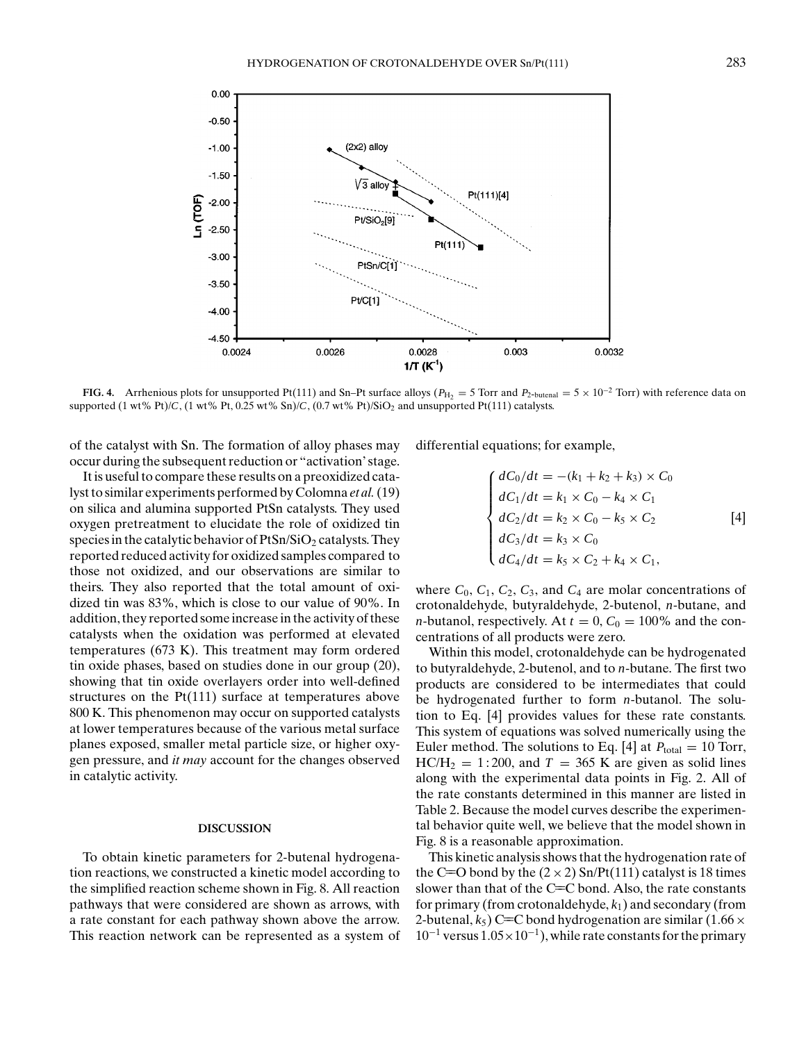

**FIG. 4.** Arrhenious plots for unsupported Pt(111) and Sn–Pt surface alloys ( $P_{\text{H}_2} = 5$  Torr and  $P_{\text{2-butenal}} = 5 \times 10^{-2}$  Torr) with reference data on supported (1 wt% Pt)/*C*, (1 wt% Pt, 0.25 wt% Sn)/*C*, (0.7 wt% Pt)/SiO<sub>2</sub> and unsupported Pt(111) catalysts.

of the catalyst with Sn. The formation of alloy phases may occur during the subsequent reduction or "activation' stage.

It is useful to compare these results on a preoxidized catalyst to similar experiments performed by Colomna *et al.*(19) on silica and alumina supported PtSn catalysts. They used oxygen pretreatment to elucidate the role of oxidized tin species in the catalytic behavior of  $PtSn/SiO<sub>2</sub>$  catalysts. They reported reduced activity for oxidized samples compared to those not oxidized, and our observations are similar to theirs. They also reported that the total amount of oxidized tin was 83%, which is close to our value of 90%. In addition, they reported some increase in the activity of these catalysts when the oxidation was performed at elevated temperatures (673 K). This treatment may form ordered tin oxide phases, based on studies done in our group (20), showing that tin oxide overlayers order into well-defined structures on the Pt(111) surface at temperatures above 800 K. This phenomenon may occur on supported catalysts at lower temperatures because of the various metal surface planes exposed, smaller metal particle size, or higher oxygen pressure, and *it may* account for the changes observed in catalytic activity.

## **DISCUSSION**

To obtain kinetic parameters for 2-butenal hydrogenation reactions, we constructed a kinetic model according to the simplified reaction scheme shown in Fig. 8. All reaction pathways that were considered are shown as arrows, with a rate constant for each pathway shown above the arrow. This reaction network can be represented as a system of

differential equations; for example,

$$
\begin{cases}\ndC_0/dt = -(k_1 + k_2 + k_3) \times C_0 \\
dC_1/dt = k_1 \times C_0 - k_4 \times C_1 \\
dC_2/dt = k_2 \times C_0 - k_5 \times C_2 \\
dC_3/dt = k_3 \times C_0 \\
dC_4/dt = k_5 \times C_2 + k_4 \times C_1,\n\end{cases}
$$
\n[4]

where  $C_0$ ,  $C_1$ ,  $C_2$ ,  $C_3$ , and  $C_4$  are molar concentrations of crotonaldehyde, butyraldehyde, 2-butenol, *n*-butane, and *n*-butanol, respectively. At  $t = 0$ ,  $C_0 = 100\%$  and the concentrations of all products were zero.

Within this model, crotonaldehyde can be hydrogenated to butyraldehyde, 2-butenol, and to *n*-butane. The first two products are considered to be intermediates that could be hydrogenated further to form *n*-butanol. The solution to Eq. [4] provides values for these rate constants. This system of equations was solved numerically using the Euler method. The solutions to Eq. [4] at  $P_{total} = 10$  Torr,  $HC/H<sub>2</sub> = 1:200$ , and  $T = 365$  K are given as solid lines along with the experimental data points in Fig. 2. All of the rate constants determined in this manner are listed in Table 2. Because the model curves describe the experimental behavior quite well, we believe that the model shown in Fig. 8 is a reasonable approximation.

This kinetic analysis shows that the hydrogenation rate of the C=O bond by the  $(2 \times 2)$  Sn/Pt(111) catalyst is 18 times slower than that of the  $C=C$  bond. Also, the rate constants for primary (from crotonaldehyde,  $k_1$ ) and secondary (from 2-butenal,  $k_5$ ) C=C bond hydrogenation are similar (1.66  $\times$  $10^{-1}$  versus  $1.05 \times 10^{-1}$ ), while rate constants for the primary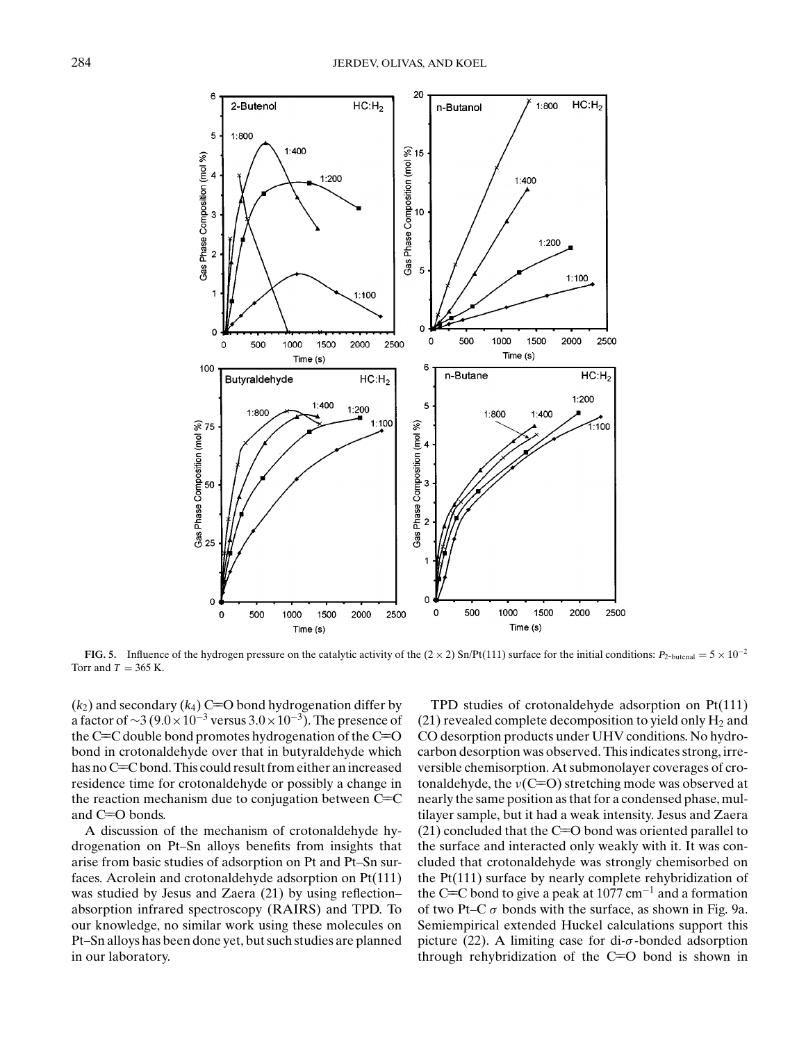

**FIG. 5.** Influence of the hydrogen pressure on the catalytic activity of the (2 × 2) Sn/Pt(111) surface for the initial conditions:  $P_{2-\text{butenal}} = 5 \times 10^{-2}$ Torr and  $T = 365$  K.

 $(k_2)$  and secondary  $(k_4)$  C=O bond hydrogenation differ by a factor of  $\sim$ 3 (9.0 × 10<sup>-3</sup> versus 3.0 × 10<sup>-3</sup>). The presence of the C=C double bond promotes hydrogenation of the C=O bond in crotonaldehyde over that in butyraldehyde which has no C=C bond. This could result from either an increased residence time for crotonaldehyde or possibly a change in the reaction mechanism due to conjugation between  $C=C$ and  $C=O$  bonds.

A discussion of the mechanism of crotonaldehyde hydrogenation on Pt–Sn alloys benefits from insights that arise from basic studies of adsorption on Pt and Pt–Sn surfaces. Acrolein and crotonaldehyde adsorption on Pt(111) was studied by Jesus and Zaera (21) by using reflection– absorption infrared spectroscopy (RAIRS) and TPD. To our knowledge, no similar work using these molecules on Pt–Sn alloys has been done yet, but such studies are planned in our laboratory.

TPD studies of crotonaldehyde adsorption on Pt(111) (21) revealed complete decomposition to yield only  $H_2$  and CO desorption products under UHV conditions. No hydrocarbon desorption was observed. This indicates strong, irreversible chemisorption. At submonolayer coverages of crotonaldehyde, the  $v(C=O)$  stretching mode was observed at nearly the same position as that for a condensed phase, multilayer sample, but it had a weak intensity. Jesus and Zaera  $(21)$  concluded that the C=O bond was oriented parallel to the surface and interacted only weakly with it. It was concluded that crotonaldehyde was strongly chemisorbed on the Pt(111) surface by nearly complete rehybridization of the C=C bond to give a peak at 1077 cm<sup>-1</sup> and a formation of two Pt–C  $\sigma$  bonds with the surface, as shown in Fig. 9a. Semiempirical extended Huckel calculations support this picture (22). A limiting case for di- $\sigma$ -bonded adsorption through rehybridization of the  $C=O$  bond is shown in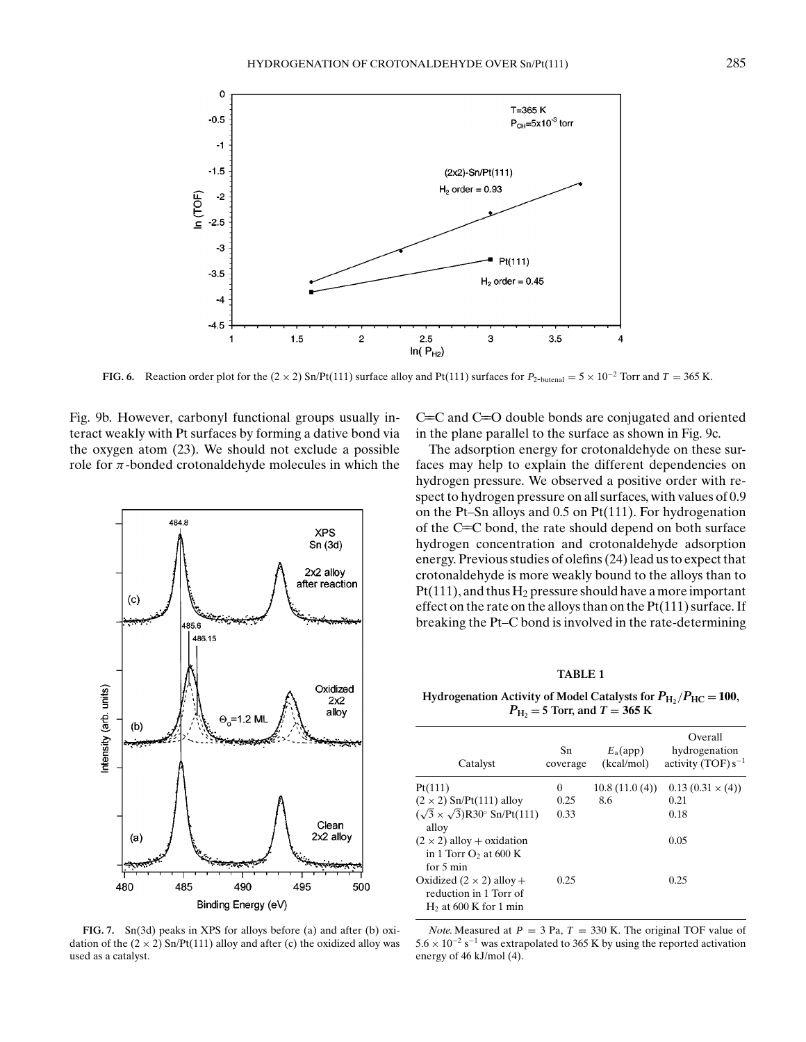

**FIG. 6.** Reaction order plot for the  $(2 \times 2)$  Sn/Pt(111) surface alloy and Pt(111) surfaces for  $P_{2\text{-}butenal} = 5 \times 10^{-2}$  Torr and  $T = 365$  K.

Fig. 9b. However, carbonyl functional groups usually interact weakly with Pt surfaces by forming a dative bond via the oxygen atom (23). We should not exclude a possible role for  $\pi$ -bonded crotonaldehyde molecules in which the



**FIG. 7.** Sn(3d) peaks in XPS for alloys before (a) and after (b) oxidation of the  $(2 \times 2)$  Sn/Pt(111) alloy and after (c) the oxidized alloy was used as a catalyst.

 $C=C$  and  $C=O$  double bonds are conjugated and oriented in the plane parallel to the surface as shown in Fig. 9c.

The adsorption energy for crotonaldehyde on these surfaces may help to explain the different dependencies on hydrogen pressure. We observed a positive order with respect to hydrogen pressure on all surfaces, with values of 0.9 on the Pt–Sn alloys and 0.5 on Pt(111). For hydrogenation of the  $C=C$  bond, the rate should depend on both surface hydrogen concentration and crotonaldehyde adsorption energy. Previous studies of olefins (24) lead us to expect that crotonaldehyde is more weakly bound to the alloys than to Pt(111), and thus  $H_2$  pressure should have a more important effect on the rate on the alloys than on the  $Pt(111)$  surface. If breaking the Pt–C bond is involved in the rate-determining

# **TABLE 1**

**Hydrogenation Activity of Model Catalysts for**  $P_{\text{H}_2}/P_{\text{HC}} = 100$ **,**  $P_{\text{H}_2} = 5$  Torr, and  $T = 365$  K

| Catalyst                                     | Sn<br>coverage | $E_{\rm a}$ (app)<br>(kcal/mol) | Overall<br>hydrogenation<br>activity (TOF) $s^{-1}$ |
|----------------------------------------------|----------------|---------------------------------|-----------------------------------------------------|
| Pt(111)                                      | 0              | 10.8(11.0(4))                   | $0.13(0.31\times(4))$                               |
| $(2 \times 2)$ Sn/Pt(111) alloy              | 0.25           | 8.6                             | 0.21                                                |
| $(\sqrt{3} \times \sqrt{3})R30$ ° Sn/Pt(111) | 0.33           |                                 | 0.18                                                |
| alloy                                        |                |                                 |                                                     |
| $(2 \times 2)$ alloy + oxidation             |                |                                 | 0.05                                                |
| in 1 Torr $O2$ at 600 K                      |                |                                 |                                                     |
| for $5 \text{ min}$                          |                |                                 |                                                     |
| Oxidized $(2 \times 2)$ alloy +              | 0.25           |                                 | 0.25                                                |
| reduction in 1 Torr of                       |                |                                 |                                                     |
| $H2$ at 600 K for 1 min                      |                |                                 |                                                     |

*Note.* Measured at  $P = 3$  Pa,  $T = 330$  K. The original TOF value of 5.6 × 10<sup>-2</sup> s<sup>-1</sup> was extrapolated to 365 K by using the reported activation energy of 46 kJ/mol (4).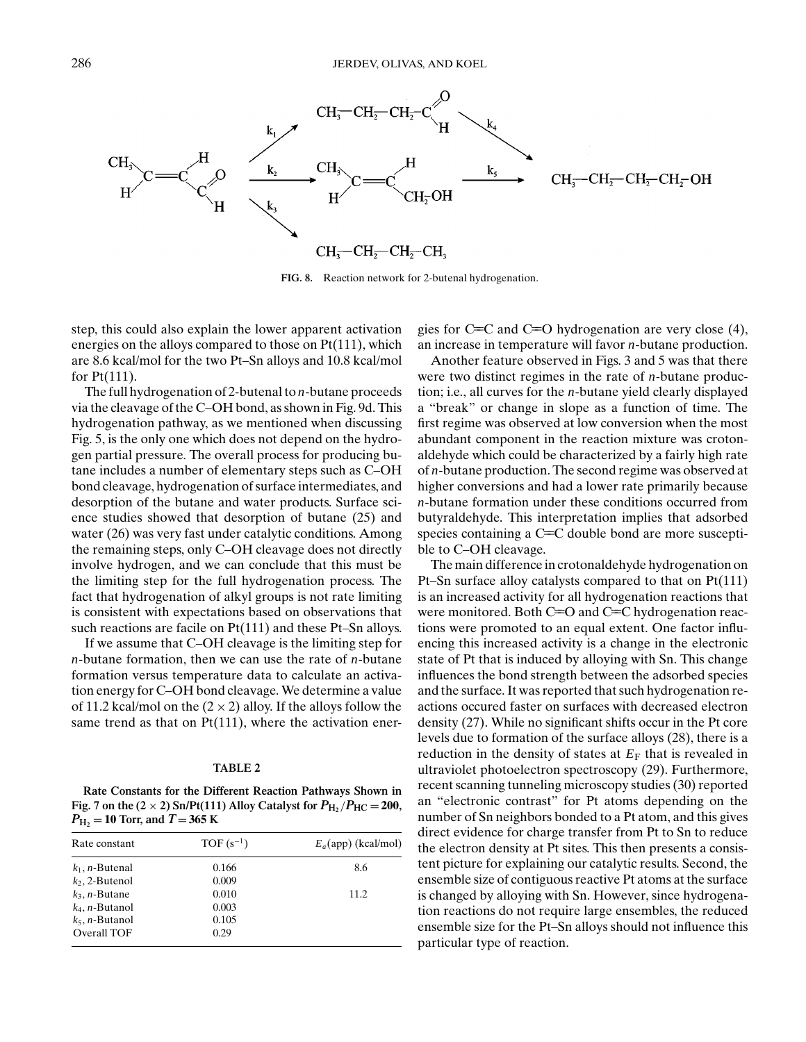

**FIG. 8.** Reaction network for 2-butenal hydrogenation.

step, this could also explain the lower apparent activation energies on the alloys compared to those on Pt(111), which are 8.6 kcal/mol for the two Pt–Sn alloys and 10.8 kcal/mol for Pt(111).

The full hydrogenation of 2-butenal to *n*-butane proceeds via the cleavage of the C–OH bond, as shown in Fig. 9d. This hydrogenation pathway, as we mentioned when discussing Fig. 5, is the only one which does not depend on the hydrogen partial pressure. The overall process for producing butane includes a number of elementary steps such as C–OH bond cleavage, hydrogenation of surface intermediates, and desorption of the butane and water products. Surface science studies showed that desorption of butane (25) and water (26) was very fast under catalytic conditions. Among the remaining steps, only C–OH cleavage does not directly involve hydrogen, and we can conclude that this must be the limiting step for the full hydrogenation process. The fact that hydrogenation of alkyl groups is not rate limiting is consistent with expectations based on observations that such reactions are facile on Pt(111) and these Pt–Sn alloys.

If we assume that C–OH cleavage is the limiting step for *n*-butane formation, then we can use the rate of *n*-butane formation versus temperature data to calculate an activation energy for C–OH bond cleavage. We determine a value of 11.2 kcal/mol on the  $(2 \times 2)$  alloy. If the alloys follow the same trend as that on Pt(111), where the activation ener-

#### **TABLE 2**

**Rate Constants for the Different Reaction Pathways Shown in** Fig. 7 on the  $(2 \times 2)$  Sn/Pt(111) Alloy Catalyst for  $P_{\text{H}_2}/P_{\text{HC}} = 200$ ,  $P_{\text{H}_2}$  = 10 Torr, and  $T = 365 \text{ K}$ 

| Rate constant             | TOF $(s^{-1})$ | $E_a$ (app) (kcal/mol) |
|---------------------------|----------------|------------------------|
| $k_1$ , <i>n</i> -Butenal | 0.166          | 8.6                    |
| $k_2$ , 2-Butenol         | 0.009          |                        |
| $k_3$ , <i>n</i> -Butane  | 0.010          | 11.2                   |
| $k_4$ , <i>n</i> -Butanol | 0.003          |                        |
| $k_5$ , <i>n</i> -Butanol | 0.105          |                        |
| Overall TOF               | 0.29           |                        |
|                           |                |                        |

gies for C=C and C=O hydrogenation are very close  $(4)$ , an increase in temperature will favor *n*-butane production.

Another feature observed in Figs. 3 and 5 was that there were two distinct regimes in the rate of *n*-butane production; i.e., all curves for the *n*-butane yield clearly displayed a "break" or change in slope as a function of time. The first regime was observed at low conversion when the most abundant component in the reaction mixture was crotonaldehyde which could be characterized by a fairly high rate of *n*-butane production. The second regime was observed at higher conversions and had a lower rate primarily because *n*-butane formation under these conditions occurred from butyraldehyde. This interpretation implies that adsorbed species containing a  $C=C$  double bond are more susceptible to C–OH cleavage.

The main difference in crotonaldehyde hydrogenation on Pt–Sn surface alloy catalysts compared to that on Pt(111) is an increased activity for all hydrogenation reactions that were monitored. Both  $C=O$  and  $C=C$  hydrogenation reactions were promoted to an equal extent. One factor influencing this increased activity is a change in the electronic state of Pt that is induced by alloying with Sn. This change influences the bond strength between the adsorbed species and the surface. It was reported that such hydrogenation reactions occured faster on surfaces with decreased electron density (27). While no significant shifts occur in the Pt core levels due to formation of the surface alloys (28), there is a reduction in the density of states at  $E_F$  that is revealed in ultraviolet photoelectron spectroscopy (29). Furthermore, recent scanning tunneling microscopy studies (30) reported an "electronic contrast" for Pt atoms depending on the number of Sn neighbors bonded to a Pt atom, and this gives direct evidence for charge transfer from Pt to Sn to reduce the electron density at Pt sites. This then presents a consistent picture for explaining our catalytic results. Second, the ensemble size of contiguous reactive Pt atoms at the surface is changed by alloying with Sn. However, since hydrogenation reactions do not require large ensembles, the reduced ensemble size for the Pt–Sn alloys should not influence this particular type of reaction.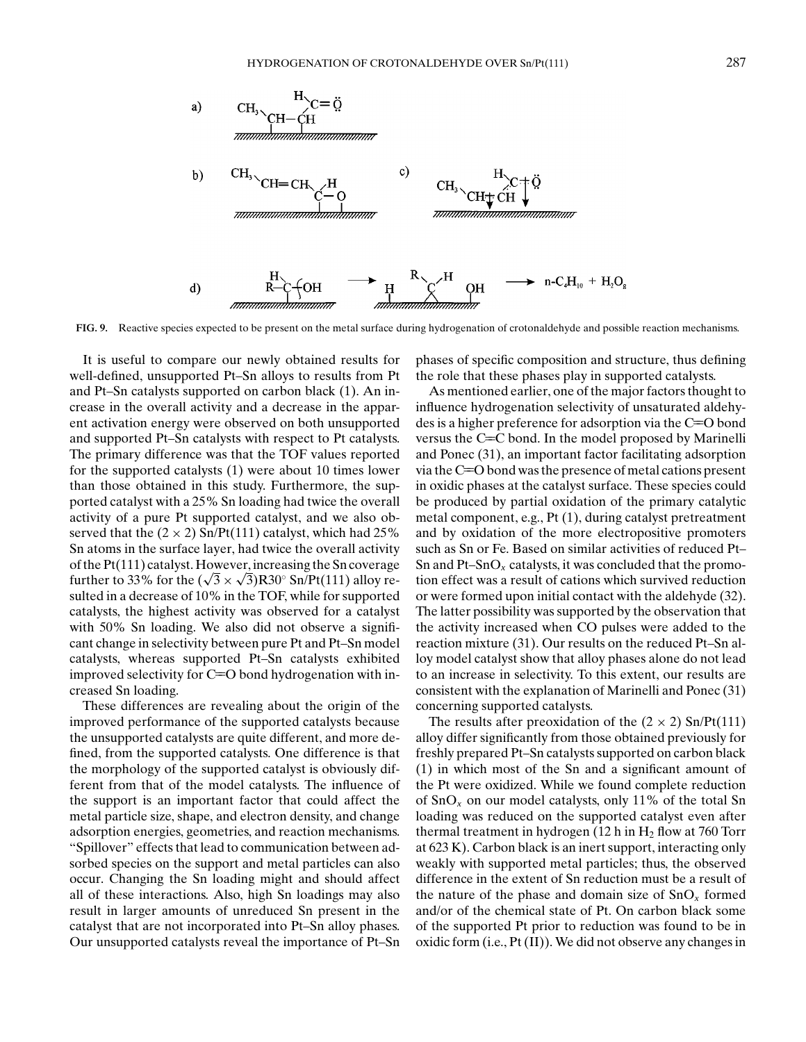

**FIG. 9.** Reactive species expected to be present on the metal surface during hydrogenation of crotonaldehyde and possible reaction mechanisms.

It is useful to compare our newly obtained results for well-defined, unsupported Pt–Sn alloys to results from Pt and Pt–Sn catalysts supported on carbon black (1). An increase in the overall activity and a decrease in the apparent activation energy were observed on both unsupported and supported Pt–Sn catalysts with respect to Pt catalysts. The primary difference was that the TOF values reported for the supported catalysts (1) were about 10 times lower than those obtained in this study. Furthermore, the supported catalyst with a 25% Sn loading had twice the overall activity of a pure Pt supported catalyst, and we also observed that the  $(2 \times 2)$  Sn/Pt(111) catalyst, which had 25% Sn atoms in the surface layer, had twice the overall activity of the Pt(111) catalyst. However, increasing the Sn coverage further to 33% for the  $(\sqrt{3} \times \sqrt{3})R30^\circ$  Sn/Pt(111) alloy resulted in a decrease of 10% in the TOF, while for supported catalysts, the highest activity was observed for a catalyst with 50% Sn loading. We also did not observe a significant change in selectivity between pure Pt and Pt–Sn model catalysts, whereas supported Pt–Sn catalysts exhibited improved selectivity for  $C=O$  bond hydrogenation with increased Sn loading.

These differences are revealing about the origin of the improved performance of the supported catalysts because the unsupported catalysts are quite different, and more defined, from the supported catalysts. One difference is that the morphology of the supported catalyst is obviously different from that of the model catalysts. The influence of the support is an important factor that could affect the metal particle size, shape, and electron density, and change adsorption energies, geometries, and reaction mechanisms. "Spillover" effects that lead to communication between adsorbed species on the support and metal particles can also occur. Changing the Sn loading might and should affect all of these interactions. Also, high Sn loadings may also result in larger amounts of unreduced Sn present in the catalyst that are not incorporated into Pt–Sn alloy phases. Our unsupported catalysts reveal the importance of Pt–Sn

phases of specific composition and structure, thus defining the role that these phases play in supported catalysts.

As mentioned earlier, one of the major factors thought to influence hydrogenation selectivity of unsaturated aldehydes is a higher preference for adsorption via the  $C=O$  bond versus the  $C=C$  bond. In the model proposed by Marinelli and Ponec (31), an important factor facilitating adsorption via the C= $O$  bond was the presence of metal cations present in oxidic phases at the catalyst surface. These species could be produced by partial oxidation of the primary catalytic metal component, e.g., Pt (1), during catalyst pretreatment and by oxidation of the more electropositive promoters such as Sn or Fe. Based on similar activities of reduced Pt– Sn and Pt–SnO<sub>x</sub> catalysts, it was concluded that the promotion effect was a result of cations which survived reduction or were formed upon initial contact with the aldehyde (32). The latter possibility was supported by the observation that the activity increased when CO pulses were added to the reaction mixture (31). Our results on the reduced Pt–Sn alloy model catalyst show that alloy phases alone do not lead to an increase in selectivity. To this extent, our results are consistent with the explanation of Marinelli and Ponec (31) concerning supported catalysts.

The results after preoxidation of the  $(2 \times 2)$  Sn/Pt(111) alloy differ significantly from those obtained previously for freshly prepared Pt–Sn catalysts supported on carbon black (1) in which most of the Sn and a significant amount of the Pt were oxidized. While we found complete reduction of SnO*<sup>x</sup>* on our model catalysts, only 11% of the total Sn loading was reduced on the supported catalyst even after thermal treatment in hydrogen (12 h in  $H_2$  flow at 760 Torr at 623 K). Carbon black is an inert support, interacting only weakly with supported metal particles; thus, the observed difference in the extent of Sn reduction must be a result of the nature of the phase and domain size of SnO*<sup>x</sup>* formed and/or of the chemical state of Pt. On carbon black some of the supported Pt prior to reduction was found to be in oxidic form (i.e., Pt (II)). We did not observe any changes in